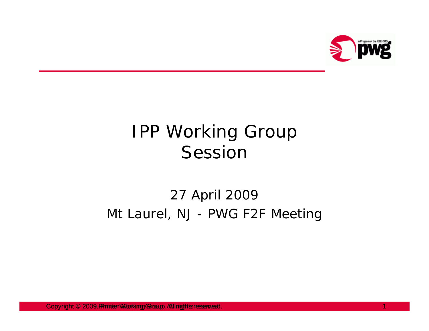

# IPP Working Group Session

#### 27 April 2009 Mt Laurel, NJ - PWG F2F Meeting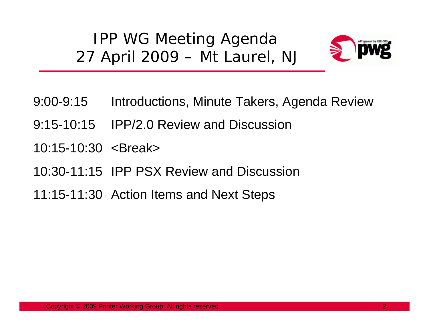IPP WG Meeting Agenda 27 April 2009 – Mt Laurel, NJ



- 9:00-9:15 Introductions, Minute Takers, Agenda Review
- 9:15-10:15 IPP/2.0 Review and Discussion
- 10:15-10:30 <Break>
- 10:30-11:15 IPP PSX Review and Discussion
- 11:15-11:30 Action Items and Next Steps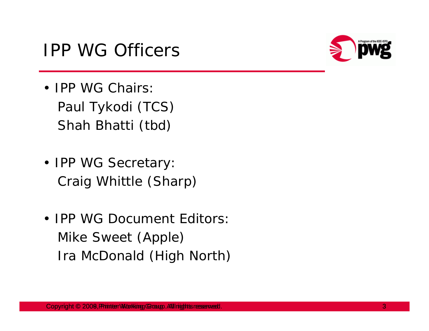### IPP WG Officers



- **IPP WG Chairs:** Paul Tykodi (TCS) Shah Bhatti (tbd)
- IPP WG Secretary: Craig Whittle (Sharp)
- IPP WG Document Editors: Mike Sweet (Apple) Ira McDonald (High North)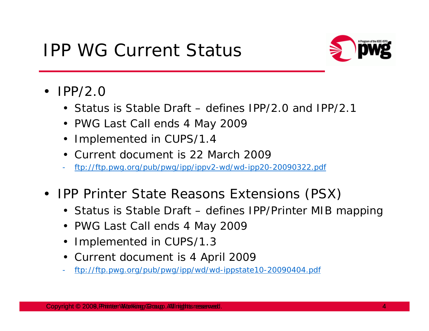## IPP WG Current Status



- IPP/2.0
	- Status is Stable Draft defines IPP/2.0 and IPP/2.1
	- PWG Last Call ends 4 May 2009
	- Implemented in CUPS/1.4
	- Current document is 22 March 2009
	- ftp://ftp.pwg.org/pub/pwg/ipp/ippv2-wd/wd-ipp20-20090322.pdf
- $\bullet$  IPP Printer State Reasons Extensions (PSX)
	- Status is Stable Draft defines IPP/Printer MIB mapping
	- PWG Last Call ends 4 May 2009
	- Implemented in CUPS/1.3
	- Current document is 4 April 2009
	- ftp://ftp.pwg.org/pub/pwg/ipp/wd/wd-ippstate10-20090404.pdf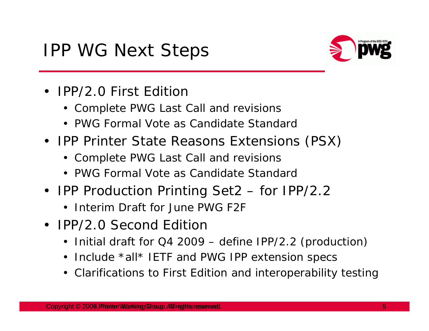## IPP WG Next Steps



- IPP/2.0 First Edition
	- Complete PWG Last Call and revisions
	- PWG Formal Vote as Candidate Standard
- IPP Printer State Reasons Extensions (PSX)
	- Complete PWG Last Call and revisions
	- PWG Formal Vote as Candidate Standard
- IPP Production Printing Set2 for IPP/2.2
	- Interim Draft for June PWG F2F
- IPP/2.0 Second Edition
	- Initial draft for Q4 2009 define IPP/2.2 (production)
	- Include \*all\* IETF and PWG IPP extension specs
	- Clarifications to First Edition and interoperability testing